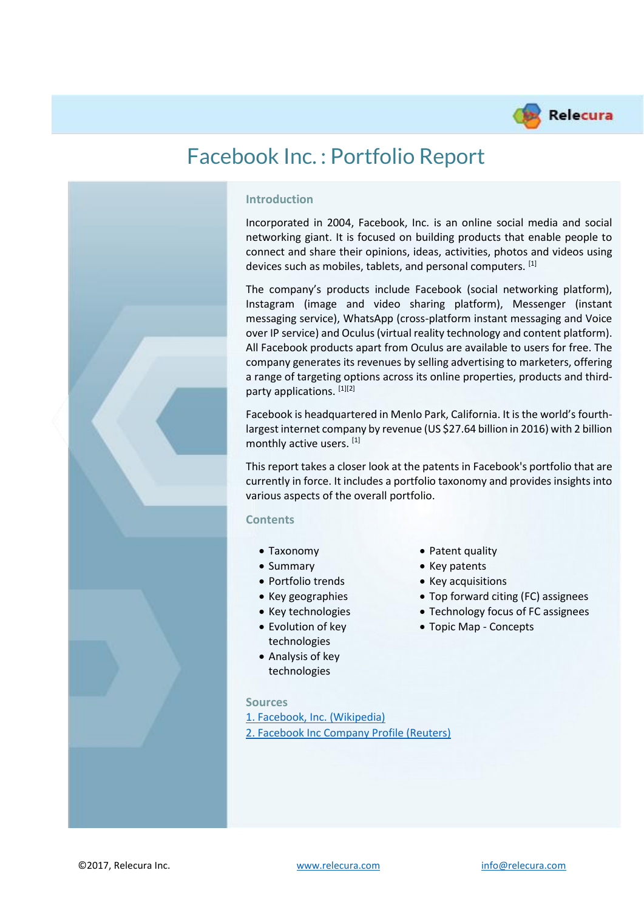

# Facebook Inc. : Portfolio Report



#### **Introduction**

Incorporated in 2004, Facebook, Inc. is an online social media and social networking giant. It is focused on building products that enable people to connect and share their opinions, ideas, activities, photos and videos using devices such as mobiles, tablets, and personal computers. [1]

The company's products include Facebook (social networking platform), Instagram (image and video sharing platform), Messenger (instant messaging service), WhatsApp (cross-platform instant messaging and Voice over IP service) and Oculus (virtual reality technology and content platform). All Facebook products apart from Oculus are available to users for free. The company generates its revenues by selling advertising to marketers, offering a range of targeting options across its online properties, products and thirdparty applications. [1][2]

Facebook is headquartered in Menlo Park, California. It is the world's fourthlargest internet company by revenue (US \$27.64 billion in 2016) with 2 billion monthly active users. [1]

This report takes a closer look at the patents in Facebook's portfolio that are currently in force. It includes a portfolio taxonomy and provides insights into various aspects of the overall portfolio.

#### **Contents**

- 
- 
- 
- 
- 
- Evolution of key technologies
- Analysis of key technologies

#### **Sources**

[1. Facebook, Inc. \(Wikipedia\)](https://en.wikipedia.org/wiki/Facebook) [2. Facebook Inc Company Profile \(Reuters\)](https://www.reuters.com/finance/stocks/company-profile/FB.O)

- Taxonomy Patent quality
- Summary Key patents
- Portfolio trends Key acquisitions
- Key geographies Top forward citing (FC) assignees
- Key technologies Technology focus of FC assignees
	- Topic Map Concepts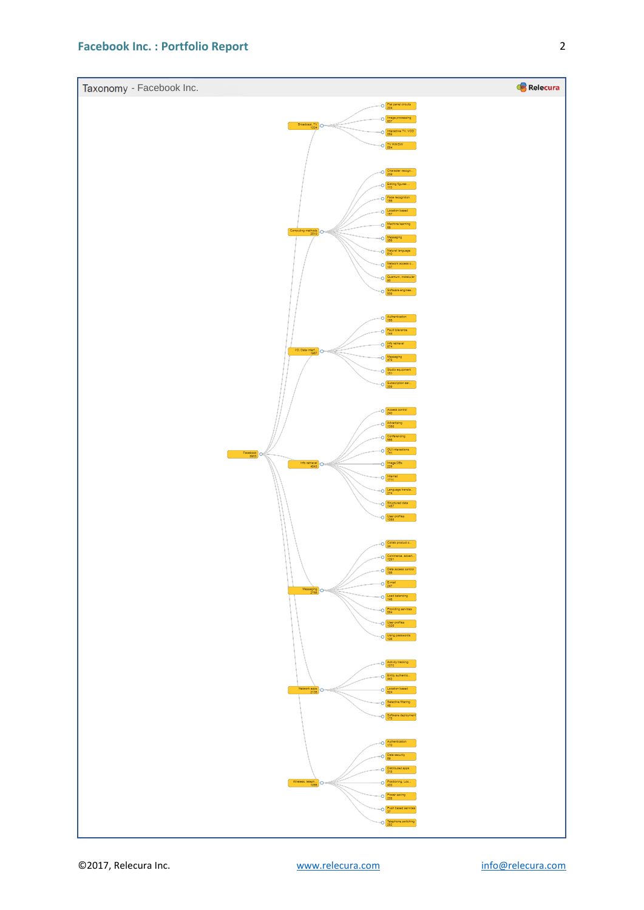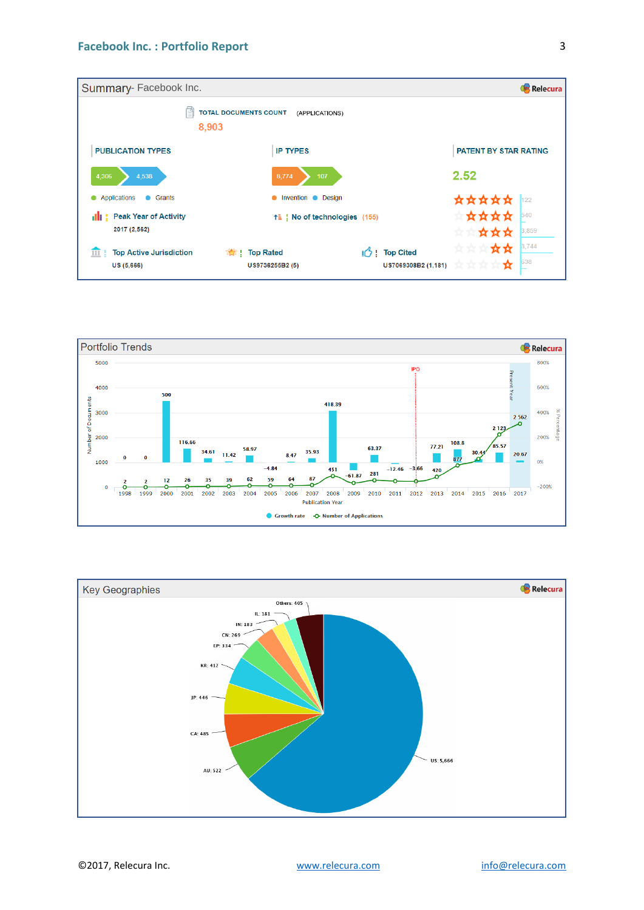



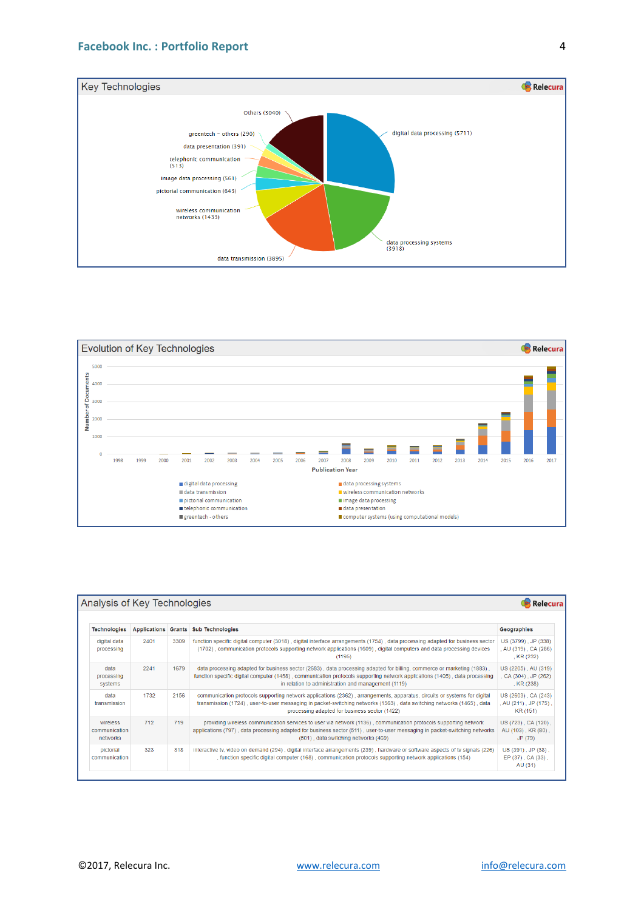



| Analysis of Key Technologies          |      |      |                                                                                                                                                                                                                                                                                                             |                                                                |  |
|---------------------------------------|------|------|-------------------------------------------------------------------------------------------------------------------------------------------------------------------------------------------------------------------------------------------------------------------------------------------------------------|----------------------------------------------------------------|--|
| <b>Technologies</b>                   |      |      | Applications Grants Sub Technologies                                                                                                                                                                                                                                                                        | Geographies                                                    |  |
| digital data<br>processing            | 2401 | 3309 | function specific digital computer (3018), digital interface arrangements (1754), data processing adapted for business sector<br>(1702), communication protocols supporting network applications (1609), digital computers and data processing devices<br>(1195)                                            | US (3799), JP (338)<br>, AU (319), CA (286)<br>, KR (232)      |  |
| data<br>processing<br>systems         | 2241 | 1679 | data processing adapted for business sector (2683), data processing adapted for billing, commerce or marketing (1883),<br>function specific digital computer (1458), communication protocols supporting network applications (1405), data processing<br>in relation to administration and management (1119) | US (2205), AU (319)<br>, CA (304), JP (262)<br>, KR (238)      |  |
| data<br>transmission                  | 1732 | 2156 | communication protocols supporting network applications (2362), arrangements, apparatus, circuits or systems for digital<br>transmission (1724), user-to-user messaging in packet-switching networks (1563), data switching networks (1465), data<br>processing adapted for business sector (1422)          | US (2603), CA (243)<br>, AU $(211)$ , JP $(175)$ .<br>KR (151) |  |
| wireless<br>communication<br>networks | 712  | 719  | providing wireless communication services to user via network (1136), communication protocols supporting network<br>applications (797), data processing adapted for business sector (511), user-to-user messaging in packet-switching networks<br>(501), data switching networks (469)                      | US (723), CA (120),<br>AU (103), KR (80),<br>JP (79)           |  |
| pictorial<br>communication            | 323  | 318  | interactive tv, video on demand (294), digital interface arrangements (239), hardware or software aspects of tv signals (226)<br>, function specific digital computer (168), communication protocols supporting network applications (154)                                                                  | US (391), JP (38),<br>EP (37), CA (33),<br>AU (31)             |  |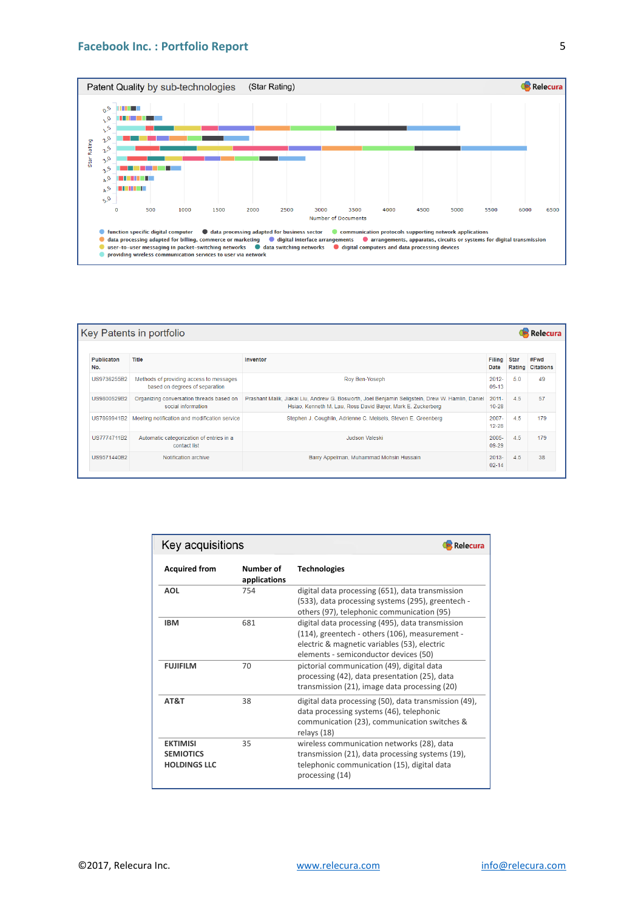#### **Facebook Inc. : Portfolio Report**



| Key Patents in portfolio<br><b>Relecura</b> |                                                                           |                                                                                                                                                                 |                       |        |                          |  |  |  |  |
|---------------------------------------------|---------------------------------------------------------------------------|-----------------------------------------------------------------------------------------------------------------------------------------------------------------|-----------------------|--------|--------------------------|--|--|--|--|
| <b>Publicaton</b><br>No.                    | Title                                                                     | Inventor                                                                                                                                                        | Filing Star<br>Date   | Rating | #Fwd<br><b>Citations</b> |  |  |  |  |
| US9736255B2                                 | Methods of providing access to messages<br>based on degrees of separation | Roy Ben-Yoseph                                                                                                                                                  | $2012 -$<br>$09-13$   | 50     | 49                       |  |  |  |  |
| US9800529B2                                 | Organizing conversation threads based on<br>social information            | Prashant Malik, Jiakai Liu, Andrew G. Bosworth, Joel Benjamin Seligstein, Drew W. Hamlin, Daniel<br>Hsiao, Kenneth M. Lau, Ross David Bayer, Mark E. Zuckerberg | $2011 -$<br>$10 - 28$ | 4.5    | 57                       |  |  |  |  |
| US7869941B2                                 | Meeting notification and modification service                             | Stephen J. Coughlin, Adrienne C. Meisels, Steven E. Greenberg                                                                                                   | $2007 -$<br>$12 - 28$ | 4.5    | 179                      |  |  |  |  |
| US7774711B2                                 | Automatic categorization of entries in a<br>contact list                  | Judson Valeski                                                                                                                                                  | $2005 -$<br>09-29     | 4.5    | 179                      |  |  |  |  |
| US9571440B2                                 | Notification archive                                                      | Barry Appelman, Muhammad Mohsin Hussain                                                                                                                         | $2013 -$<br>$02 - 14$ | 4.5    | 38                       |  |  |  |  |

| Key acquisitions<br>Relecura                               |                           |                                                                                                                                                                                             |  |  |  |
|------------------------------------------------------------|---------------------------|---------------------------------------------------------------------------------------------------------------------------------------------------------------------------------------------|--|--|--|
| <b>Acquired from</b>                                       | Number of<br>applications | <b>Technologies</b>                                                                                                                                                                         |  |  |  |
| <b>AOL</b>                                                 | 754                       | digital data processing (651), data transmission<br>(533), data processing systems (295), greentech -<br>others (97), telephonic communication (95)                                         |  |  |  |
| <b>IBM</b>                                                 | 681                       | digital data processing (495), data transmission<br>(114), greentech - others (106), measurement -<br>electric & magnetic variables (53), electric<br>elements - semiconductor devices (50) |  |  |  |
| <b>FUJIFILM</b>                                            | 70                        | pictorial communication (49), digital data<br>processing (42), data presentation (25), data<br>transmission (21), image data processing (20)                                                |  |  |  |
| AT&T                                                       | 38                        | digital data processing (50), data transmission (49),<br>data processing systems (46), telephonic<br>communication (23), communication switches &<br>relays (18)                            |  |  |  |
| <b>EKTIMISI</b><br><b>SEMIOTICS</b><br><b>HOLDINGS LLC</b> | 35                        | wireless communication networks (28), data<br>transmission (21), data processing systems (19),<br>telephonic communication (15), digital data<br>processing (14)                            |  |  |  |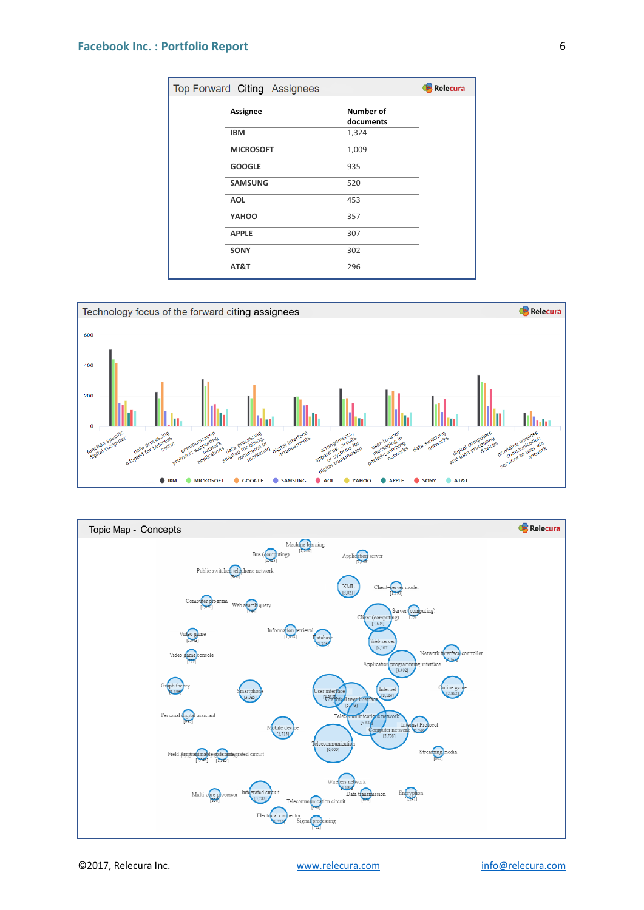### **Facebook Inc. : Portfolio Report**

| Relecura<br>Top Forward Citing Assignees |                  |                               |  |  |  |
|------------------------------------------|------------------|-------------------------------|--|--|--|
|                                          | Assignee         | <b>Number of</b><br>documents |  |  |  |
|                                          | <b>IBM</b>       | 1,324                         |  |  |  |
|                                          | <b>MICROSOFT</b> | 1,009                         |  |  |  |
|                                          | <b>GOOGLE</b>    | 935                           |  |  |  |
|                                          | <b>SAMSUNG</b>   | 520                           |  |  |  |
|                                          | <b>AOL</b>       | 453                           |  |  |  |
|                                          | YAHOO            | 357                           |  |  |  |
|                                          | <b>APPLE</b>     | 307                           |  |  |  |
|                                          | <b>SONY</b>      | 302                           |  |  |  |
|                                          | AT&T             | 296                           |  |  |  |